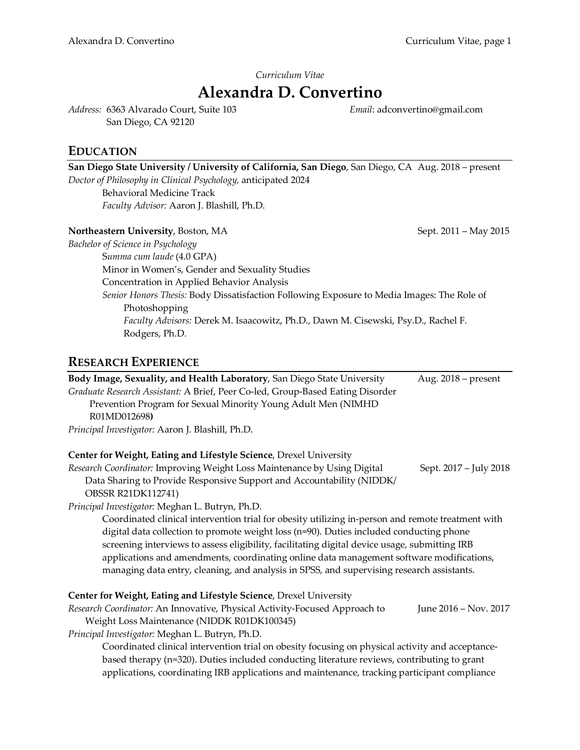## *Curriculum Vitae*

# **Alexandra D. Convertino**

*Address:* 6363 Alvarado Court, Suite 103 San Diego, CA 92120

*Email*: adconvertino@gmail.com

# **EDUCATION**

| San Diego State University / University of California, San Diego, San Diego, CA Aug. 2018 – present |                       |
|-----------------------------------------------------------------------------------------------------|-----------------------|
| Doctor of Philosophy in Clinical Psychology, anticipated 2024                                       |                       |
| <b>Behavioral Medicine Track</b>                                                                    |                       |
| Faculty Advisor: Aaron J. Blashill, Ph.D.                                                           |                       |
| Northeastern University, Boston, MA                                                                 | Sept. 2011 - May 2015 |
| Bachelor of Science in Psychology                                                                   |                       |
| Summa cum laude (4.0 GPA)                                                                           |                       |
| Minor in Women's, Gender and Sexuality Studies                                                      |                       |
| Concentration in Applied Behavior Analysis                                                          |                       |
| Senior Honors Thesis: Body Dissatisfaction Following Exposure to Media Images: The Role of          |                       |
| Photoshopping                                                                                       |                       |
| Faculty Advisors: Derek M. Isaacowitz, Ph.D., Dawn M. Cisewski, Psy.D., Rachel F.                   |                       |
| Rodgers, Ph.D.                                                                                      |                       |

# **RESEARCH EXPERIENCE**

| Body Image, Sexuality, and Health Laboratory, San Diego State University<br>Graduate Research Assistant: A Brief, Peer Co-led, Group-Based Eating Disorder<br>Prevention Program for Sexual Minority Young Adult Men (NIMHD<br>R01MD012698)<br>Principal Investigator: Aaron J. Blashill, Ph.D. | Aug. $2018$ – present  |  |
|-------------------------------------------------------------------------------------------------------------------------------------------------------------------------------------------------------------------------------------------------------------------------------------------------|------------------------|--|
| Center for Weight, Eating and Lifestyle Science, Drexel University                                                                                                                                                                                                                              |                        |  |
| Research Coordinator: Improving Weight Loss Maintenance by Using Digital                                                                                                                                                                                                                        | Sept. 2017 – July 2018 |  |
| Data Sharing to Provide Responsive Support and Accountability (NIDDK/                                                                                                                                                                                                                           |                        |  |
| <b>OBSSR R21DK112741)</b>                                                                                                                                                                                                                                                                       |                        |  |
| Principal Investigator: Meghan L. Butryn, Ph.D.                                                                                                                                                                                                                                                 |                        |  |
| Coordinated clinical intervention trial for obesity utilizing in-person and remote treatment with                                                                                                                                                                                               |                        |  |
| digital data collection to promote weight loss (n=90). Duties included conducting phone                                                                                                                                                                                                         |                        |  |
| screening interviews to assess eligibility, facilitating digital device usage, submitting IRB                                                                                                                                                                                                   |                        |  |
| applications and amendments, coordinating online data management software modifications,                                                                                                                                                                                                        |                        |  |
| managing data entry, cleaning, and analysis in SPSS, and supervising research assistants.                                                                                                                                                                                                       |                        |  |
| Center for Weight, Eating and Lifestyle Science, Drexel University                                                                                                                                                                                                                              |                        |  |
| Research Coordinator: An Innovative, Physical Activity-Focused Approach to                                                                                                                                                                                                                      | June 2016 - Nov. 2017  |  |
| Weight Loss Maintenance (NIDDK R01DK100345)                                                                                                                                                                                                                                                     |                        |  |
| Principal Investigator: Meghan L. Butryn, Ph.D.                                                                                                                                                                                                                                                 |                        |  |
| Coordinated clinical intervention trial on obesity focusing on physical activity and acceptance-                                                                                                                                                                                                |                        |  |
| based therapy (n=320). Duties included conducting literature reviews, contributing to grant                                                                                                                                                                                                     |                        |  |
| applications, coordinating IRB applications and maintenance, tracking participant compliance                                                                                                                                                                                                    |                        |  |
|                                                                                                                                                                                                                                                                                                 |                        |  |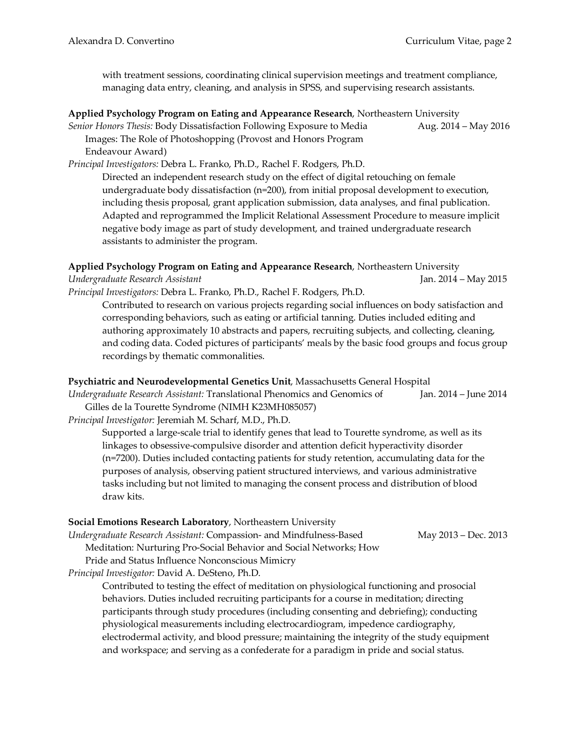with treatment sessions, coordinating clinical supervision meetings and treatment compliance, managing data entry, cleaning, and analysis in SPSS, and supervising research assistants.

#### **Applied Psychology Program on Eating and Appearance Research**, Northeastern University

*Senior Honors Thesis: Body Dissatisfaction Following Exposure to Media* Aug. 2014 – May 2016 Images: The Role of Photoshopping (Provost and Honors Program Endeavour Award)

*Principal Investigators:* Debra L. Franko, Ph.D., Rachel F. Rodgers, Ph.D.

Directed an independent research study on the effect of digital retouching on female undergraduate body dissatisfaction (n=200), from initial proposal development to execution, including thesis proposal, grant application submission, data analyses, and final publication. Adapted and reprogrammed the Implicit Relational Assessment Procedure to measure implicit negative body image as part of study development, and trained undergraduate research assistants to administer the program.

**Applied Psychology Program on Eating and Appearance Research**, Northeastern University *Undergraduate Research Assistant* Jan. 2014 – May 2015

*Principal Investigators:* Debra L. Franko, Ph.D., Rachel F. Rodgers, Ph.D.

Contributed to research on various projects regarding social influences on body satisfaction and corresponding behaviors, such as eating or artificial tanning. Duties included editing and authoring approximately 10 abstracts and papers, recruiting subjects, and collecting, cleaning, and coding data. Coded pictures of participants' meals by the basic food groups and focus group recordings by thematic commonalities.

#### **Psychiatric and Neurodevelopmental Genetics Unit**, Massachusetts General Hospital

*Undergraduate Research Assistant:* Translational Phenomics and Genomics of Jan. 2014 – June 2014 Gilles de la Tourette Syndrome (NIMH K23MH085057)

*Principal Investigator:* Jeremiah M. Scharf, M.D., Ph.D.

Supported a large-scale trial to identify genes that lead to Tourette syndrome, as well as its linkages to obsessive-compulsive disorder and attention deficit hyperactivity disorder (n=7200). Duties included contacting patients for study retention, accumulating data for the purposes of analysis, observing patient structured interviews, and various administrative tasks including but not limited to managing the consent process and distribution of blood draw kits.

#### **Social Emotions Research Laboratory**, Northeastern University

*Undergraduate Research Assistant:* Compassion- and Mindfulness-Based May 2013 – Dec. 2013

Meditation: Nurturing Pro-Social Behavior and Social Networks; How

Pride and Status Influence Nonconscious Mimicry

*Principal Investigator:* David A. DeSteno, Ph.D.

Contributed to testing the effect of meditation on physiological functioning and prosocial behaviors. Duties included recruiting participants for a course in meditation; directing participants through study procedures (including consenting and debriefing); conducting physiological measurements including electrocardiogram, impedence cardiography, electrodermal activity, and blood pressure; maintaining the integrity of the study equipment and workspace; and serving as a confederate for a paradigm in pride and social status.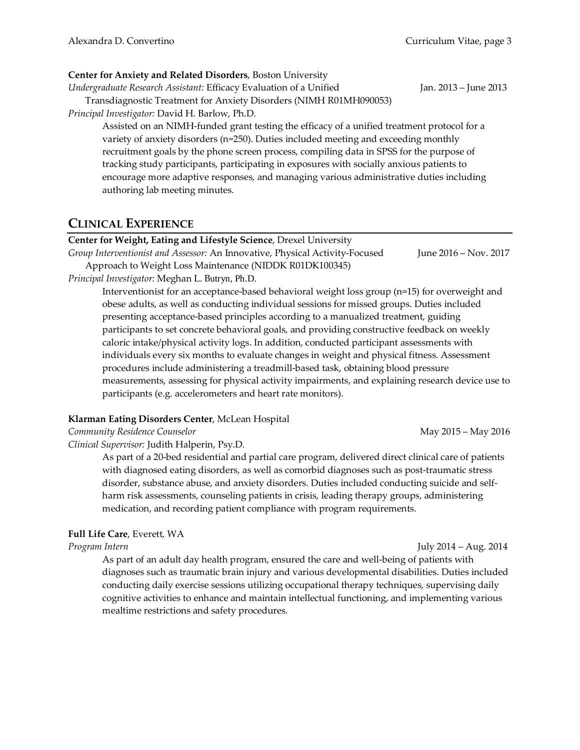### **Center for Anxiety and Related Disorders**, Boston University

*Undergraduate Research Assistant:* Efficacy Evaluation of a Unified Jan. 2013 – June 2013

Transdiagnostic Treatment for Anxiety Disorders (NIMH R01MH090053)

*Principal Investigator:* David H. Barlow, Ph.D.

Assisted on an NIMH-funded grant testing the efficacy of a unified treatment protocol for a variety of anxiety disorders (n=250). Duties included meeting and exceeding monthly recruitment goals by the phone screen process, compiling data in SPSS for the purpose of tracking study participants, participating in exposures with socially anxious patients to encourage more adaptive responses, and managing various administrative duties including authoring lab meeting minutes.

## **CLINICAL EXPERIENCE**

#### **Center for Weight, Eating and Lifestyle Science**, Drexel University

*Group Interventionist and Assessor:* An Innovative, Physical Activity-Focused June 2016 – Nov. 2017 Approach to Weight Loss Maintenance (NIDDK R01DK100345)

*Principal Investigator:* Meghan L. Butryn, Ph.D.

Interventionist for an acceptance-based behavioral weight loss group (n=15) for overweight and obese adults, as well as conducting individual sessions for missed groups. Duties included presenting acceptance-based principles according to a manualized treatment, guiding participants to set concrete behavioral goals, and providing constructive feedback on weekly caloric intake/physical activity logs. In addition, conducted participant assessments with individuals every six months to evaluate changes in weight and physical fitness. Assessment procedures include administering a treadmill-based task, obtaining blood pressure measurements, assessing for physical activity impairments, and explaining research device use to participants (e.g. accelerometers and heart rate monitors).

## **Klarman Eating Disorders Center**, McLean Hospital

*Community Residence Counselor* May 2015 – May 2016

*Clinical Supervisor:* Judith Halperin, Psy.D.

As part of a 20-bed residential and partial care program, delivered direct clinical care of patients with diagnosed eating disorders, as well as comorbid diagnoses such as post-traumatic stress disorder, substance abuse, and anxiety disorders. Duties included conducting suicide and selfharm risk assessments, counseling patients in crisis, leading therapy groups, administering medication, and recording patient compliance with program requirements.

## **Full Life Care**, Everett, WA

*Program Intern* July 2014 – Aug. 2014

As part of an adult day health program, ensured the care and well-being of patients with diagnoses such as traumatic brain injury and various developmental disabilities. Duties included conducting daily exercise sessions utilizing occupational therapy techniques, supervising daily cognitive activities to enhance and maintain intellectual functioning, and implementing various mealtime restrictions and safety procedures.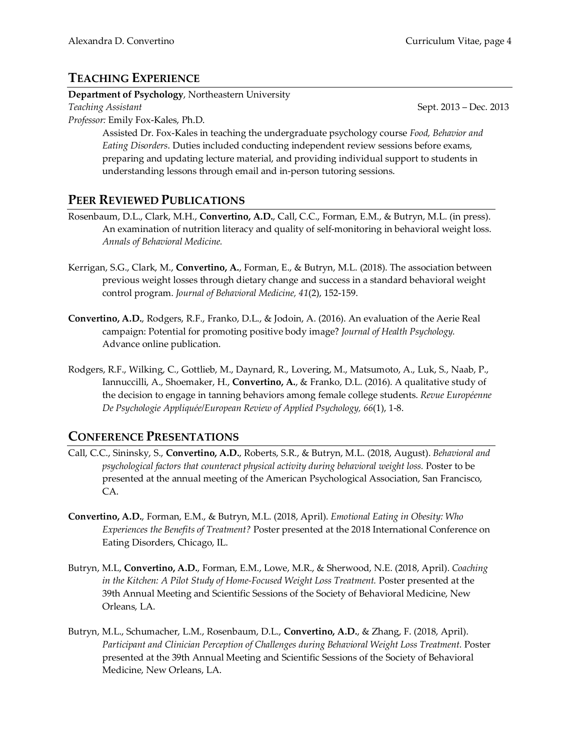## **TEACHING EXPERIENCE**

**Department of Psychology**, Northeastern University

*Teaching Assistant* Sept. 2013 – Dec. 2013 *Professor:* Emily Fox-Kales, Ph.D.

Assisted Dr. Fox-Kales in teaching the undergraduate psychology course *Food, Behavior and Eating Disorders*. Duties included conducting independent review sessions before exams, preparing and updating lecture material, and providing individual support to students in understanding lessons through email and in-person tutoring sessions.

# **PEER REVIEWED PUBLICATIONS**

- Rosenbaum, D.L., Clark, M.H., **Convertino, A.D.**, Call, C.C., Forman, E.M., & Butryn, M.L. (in press). An examination of nutrition literacy and quality of self-monitoring in behavioral weight loss. *Annals of Behavioral Medicine.*
- Kerrigan, S.G., Clark, M., **Convertino, A.**, Forman, E., & Butryn, M.L. (2018). The association between previous weight losses through dietary change and success in a standard behavioral weight control program. *Journal of Behavioral Medicine, 41*(2), 152-159.
- **Convertino, A.D.**, Rodgers, R.F., Franko, D.L., & Jodoin, A. (2016). An evaluation of the Aerie Real campaign: Potential for promoting positive body image? *Journal of Health Psychology.*  Advance online publication.
- Rodgers, R.F., Wilking, C., Gottlieb, M., Daynard, R., Lovering, M., Matsumoto, A., Luk, S., Naab, P., Iannuccilli, A., Shoemaker, H., **Convertino, A.**, & Franko, D.L. (2016). A qualitative study of the decision to engage in tanning behaviors among female college students. *Revue Européenne De Psychologie Appliquée/European Review of Applied Psychology, 66*(1), 1-8.

# **CONFERENCE PRESENTATIONS**

- Call, C.C., Sininsky, S., **Convertino, A.D.**, Roberts, S.R., & Butryn, M.L. (2018, August). *Behavioral and psychological factors that counteract physical activity during behavioral weight loss.* Poster to be presented at the annual meeting of the American Psychological Association, San Francisco, CA.
- **Convertino, A.D.**, Forman, E.M., & Butryn, M.L. (2018, April). *Emotional Eating in Obesity: Who Experiences the Benefits of Treatment?* Poster presented at the 2018 International Conference on Eating Disorders, Chicago, IL.
- Butryn, M.L, **Convertino, A.D.**, Forman, E.M., Lowe, M.R., & Sherwood, N.E. (2018, April). *Coaching in the Kitchen: A Pilot Study of Home-Focused Weight Loss Treatment.* Poster presented at the 39th Annual Meeting and Scientific Sessions of the Society of Behavioral Medicine, New Orleans, LA.
- Butryn, M.L., Schumacher, L.M., Rosenbaum, D.L., **Convertino, A.D.**, & Zhang, F. (2018, April). *Participant and Clinician Perception of Challenges during Behavioral Weight Loss Treatment.* Poster presented at the 39th Annual Meeting and Scientific Sessions of the Society of Behavioral Medicine, New Orleans, LA.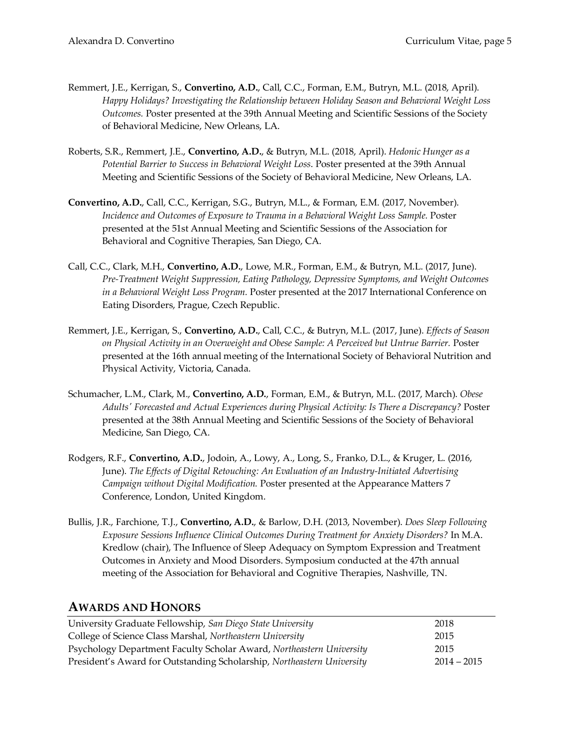- Remmert, J.E., Kerrigan, S., **Convertino, A.D.**, Call, C.C., Forman, E.M., Butryn, M.L. (2018, April). *Happy Holidays? Investigating the Relationship between Holiday Season and Behavioral Weight Loss Outcomes.* Poster presented at the 39th Annual Meeting and Scientific Sessions of the Society of Behavioral Medicine, New Orleans, LA.
- Roberts, S.R., Remmert, J.E., **Convertino, A.D.**, & Butryn, M.L. (2018, April). *Hedonic Hunger as a Potential Barrier to Success in Behavioral Weight Loss*. Poster presented at the 39th Annual Meeting and Scientific Sessions of the Society of Behavioral Medicine, New Orleans, LA.
- **Convertino, A.D.**, Call, C.C., Kerrigan, S.G., Butryn, M.L., & Forman, E.M. (2017, November). Incidence and Outcomes of Exposure to Trauma in a Behavioral Weight Loss Sample. Poster presented at the 51st Annual Meeting and Scientific Sessions of the Association for Behavioral and Cognitive Therapies, San Diego, CA.
- Call, C.C., Clark, M.H., **Convertino, A.D.**, Lowe, M.R., Forman, E.M., & Butryn, M.L. (2017, June). *Pre-Treatment Weight Suppression, Eating Pathology, Depressive Symptoms, and Weight Outcomes in a Behavioral Weight Loss Program.* Poster presented at the 2017 International Conference on Eating Disorders, Prague, Czech Republic.
- Remmert, J.E., Kerrigan, S., **Convertino, A.D.**, Call, C.C., & Butryn, M.L. (2017, June). *Effects of Season on Physical Activity in an Overweight and Obese Sample: A Perceived but Untrue Barrier.* Poster presented at the 16th annual meeting of the International Society of Behavioral Nutrition and Physical Activity, Victoria, Canada.
- Schumacher, L.M., Clark, M., **Convertino, A.D.**, Forman, E.M., & Butryn, M.L. (2017, March). *Obese Adults' Forecasted and Actual Experiences during Physical Activity: Is There a Discrepancy?* Poster presented at the 38th Annual Meeting and Scientific Sessions of the Society of Behavioral Medicine, San Diego, CA.
- Rodgers, R.F., **Convertino, A.D.**, Jodoin, A., Lowy, A., Long, S., Franko, D.L., & Kruger, L. (2016, June). *The Effects of Digital Retouching: An Evaluation of an Industry-Initiated Advertising Campaign without Digital Modification.* Poster presented at the Appearance Matters 7 Conference, London, United Kingdom.
- Bullis, J.R., Farchione, T.J., **Convertino, A.D.**, & Barlow, D.H. (2013, November). *Does Sleep Following Exposure Sessions Influence Clinical Outcomes During Treatment for Anxiety Disorders?* In M.A. Kredlow (chair), The Influence of Sleep Adequacy on Symptom Expression and Treatment Outcomes in Anxiety and Mood Disorders. Symposium conducted at the 47th annual meeting of the Association for Behavioral and Cognitive Therapies, Nashville, TN.

## **AWARDS AND HONORS**

| University Graduate Fellowship, San Diego State University             | 2018          |
|------------------------------------------------------------------------|---------------|
| College of Science Class Marshal, Northeastern University              | 2015          |
| Psychology Department Faculty Scholar Award, Northeastern University   | 2015          |
| President's Award for Outstanding Scholarship, Northeastern University | $2014 - 2015$ |